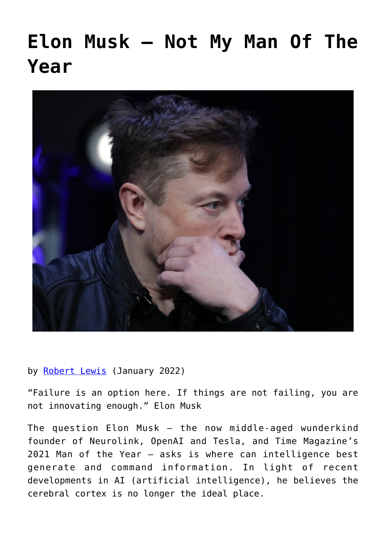## **[Elon Musk – Not My Man Of The](https://www.newenglishreview.org/articles/elon-musk-not-my-man-of-the-year/) [Year](https://www.newenglishreview.org/articles/elon-musk-not-my-man-of-the-year/)**



by [Robert Lewis](https://www.newenglishreview.org/authors/robert-lewis/?) (January 2022)

"Failure is an option here. If things are not failing, you are not innovating enough." Elon Musk

The question Elon Musk — the now middle-aged wunderkind founder of Neurolink, OpenAI and Tesla, and Time Magazine's 2021 Man of the Year — asks is where can intelligence best generate and command information. In light of recent developments in AI (artificial intelligence), he believes the cerebral cortex is no longer the ideal place.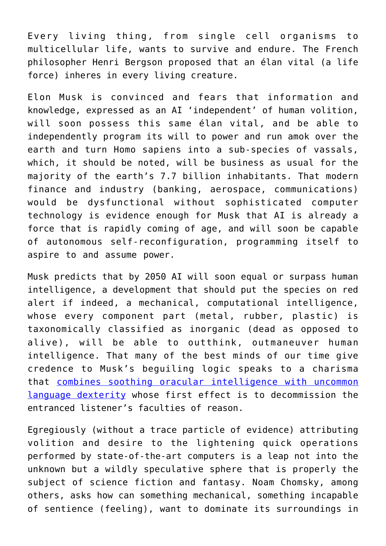Every living thing, from single cell organisms to multicellular life, wants to survive and endure. The French philosopher Henri Bergson proposed that an élan vital (a life force) inheres in every living creature.

Elon Musk is convinced and fears that information and knowledge, expressed as an AI 'independent' of human volition, will soon possess this same élan vital, and be able to independently program its will to power and run amok over the earth and turn Homo sapiens into a sub-species of vassals, which, it should be noted, will be business as usual for the majority of the earth's 7.7 billion inhabitants. That modern finance and industry (banking, aerospace, communications) would be dysfunctional without sophisticated computer technology is evidence enough for Musk that AI is already a force that is rapidly coming of age, and will soon be capable of autonomous self-reconfiguration, programming itself to aspire to and assume power.

Musk predicts that by 2050 AI will soon equal or surpass human intelligence, a development that should put the species on red alert if indeed, a mechanical, computational intelligence, whose every component part (metal, rubber, plastic) is taxonomically classified as inorganic (dead as opposed to alive), will be able to outthink, outmaneuver human intelligence. That many of the best minds of our time give credence to Musk's beguiling logic speaks to a charisma that [combines soothing oracular intelligence with uncommon](https://www.youtube.com/watch?v=Ra3fv8gl6NE) [language dexterity](https://www.youtube.com/watch?v=Ra3fv8gl6NE) whose first effect is to decommission the entranced listener's faculties of reason.

Egregiously (without a trace particle of evidence) attributing volition and desire to the lightening quick operations performed by state-of-the-art computers is a leap not into the unknown but a wildly speculative sphere that is properly the subject of science fiction and fantasy. Noam Chomsky, among others, asks how can something mechanical, something incapable of sentience (feeling), want to dominate its surroundings in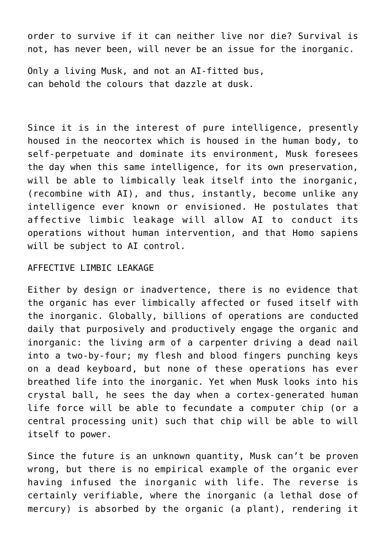order to survive if it can neither live nor die? Survival is not, has never been, will never be an issue for the inorganic.

Only a living Musk, and not an AI-fitted bus, can behold the colours that dazzle at dusk.

Since it is in the interest of pure intelligence, presently housed in the neocortex which is housed in the human body, to self-perpetuate and dominate its environment, Musk foresees the day when this same intelligence, for its own preservation, will be able to limbically leak itself into the inorganic, (recombine with AI), and thus, instantly, become unlike any intelligence ever known or envisioned. He postulates that affective limbic leakage will allow AI to conduct its operations without human intervention, and that Homo sapiens will be subject to AI control.

## AFFFCTTVF LIMBIC LEAKAGE

Either by design or inadvertence, there is no evidence that the organic has ever limbically affected or fused itself with the inorganic. Globally, billions of operations are conducted daily that purposively and productively engage the organic and inorganic: the living arm of a carpenter driving a dead nail into a two-by-four; my flesh and blood fingers punching keys on a dead keyboard, but none of these operations has ever breathed life into the inorganic. Yet when Musk looks into his crystal ball, he sees the day when a cortex-generated human life force will be able to fecundate a computer chip (or a central processing unit) such that chip will be able to will itself to power.

Since the future is an unknown quantity, Musk can't be proven wrong, but there is no empirical example of the organic ever having infused the inorganic with life. The reverse is certainly verifiable, where the inorganic (a lethal dose of mercury) is absorbed by the organic (a plant), rendering it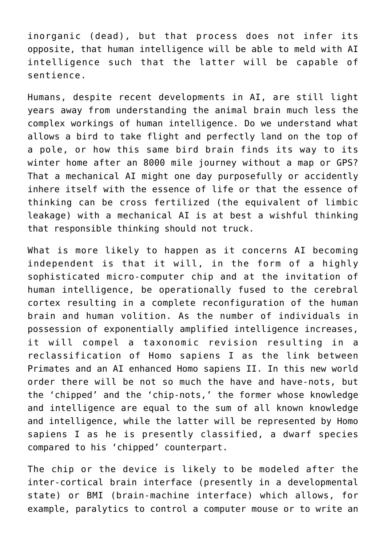inorganic (dead), but that process does not infer its opposite, that human intelligence will be able to meld with AI intelligence such that the latter will be capable of sentience.

Humans, despite recent developments in AI, are still light years away from understanding the animal brain much less the complex workings of human intelligence. Do we understand what allows a bird to take flight and perfectly land on the top of a pole, or how this same bird brain finds its way to its winter home after an 8000 mile journey without a map or GPS? That a mechanical AI might one day purposefully or accidently inhere itself with the essence of life or that the essence of thinking can be cross fertilized (the equivalent of limbic leakage) with a mechanical AI is at best a wishful thinking that responsible thinking should not truck.

What is more likely to happen as it concerns AI becoming independent is that it will, in the form of a highly sophisticated micro-computer chip and at the invitation of human intelligence, be operationally fused to the cerebral cortex resulting in a complete reconfiguration of the human brain and human volition. As the number of individuals in possession of exponentially amplified intelligence increases, it will compel a taxonomic revision resulting in a reclassification of Homo sapiens I as the link between Primates and an AI enhanced Homo sapiens II. In this new world order there will be not so much the have and have-nots, but the 'chipped' and the 'chip-nots,' the former whose knowledge and intelligence are equal to the sum of all known knowledge and intelligence, while the latter will be represented by Homo sapiens I as he is presently classified, a dwarf species compared to his 'chipped' counterpart.

The chip or the device is likely to be modeled after the inter-cortical brain interface (presently in a developmental state) or BMI (brain-machine interface) which allows, for example, paralytics to control a computer mouse or to write an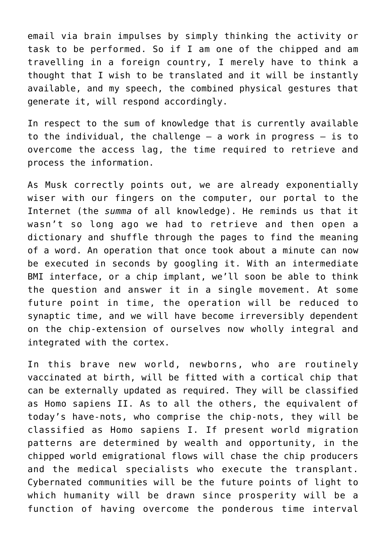email via brain impulses by simply thinking the activity or task to be performed. So if I am one of the chipped and am travelling in a foreign country, I merely have to think a thought that I wish to be translated and it will be instantly available, and my speech, the combined physical gestures that generate it, will respond accordingly.

In respect to the sum of knowledge that is currently available to the individual, the challenge  $-$  a work in progress  $-$  is to overcome the access lag, the time required to retrieve and process the information.

As Musk correctly points out, we are already exponentially wiser with our fingers on the computer, our portal to the Internet (the *summa* of all knowledge). He reminds us that it wasn't so long ago we had to retrieve and then open a dictionary and shuffle through the pages to find the meaning of a word. An operation that once took about a minute can now be executed in seconds by googling it. With an intermediate BMI interface, or a chip implant, we'll soon be able to think the question and answer it in a single movement. At some future point in time, the operation will be reduced to synaptic time, and we will have become irreversibly dependent on the chip-extension of ourselves now wholly integral and integrated with the cortex.

In this brave new world, newborns, who are routinely vaccinated at birth, will be fitted with a cortical chip that can be externally updated as required. They will be classified as Homo sapiens II. As to all the others, the equivalent of today's have-nots, who comprise the chip-nots, they will be classified as Homo sapiens I. If present world migration patterns are determined by wealth and opportunity, in the chipped world emigrational flows will chase the chip producers and the medical specialists who execute the transplant. Cybernated communities will be the future points of light to which humanity will be drawn since prosperity will be a function of having overcome the ponderous time interval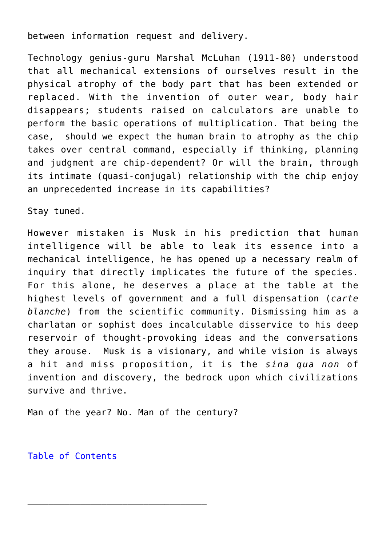between information request and delivery.

Technology genius-guru Marshal McLuhan (1911-80) understood that all mechanical extensions of ourselves result in the physical atrophy of the body part that has been extended or replaced. With the invention of outer wear, body hair disappears; students raised on calculators are unable to perform the basic operations of multiplication. That being the case, should we expect the human brain to atrophy as the chip takes over central command, especially if thinking, planning and judgment are chip-dependent? Or will the brain, through its intimate (quasi-conjugal) relationship with the chip enjoy an unprecedented increase in its capabilities?

Stay tuned.

However mistaken is Musk in his prediction that human intelligence will be able to leak its essence into a mechanical intelligence, he has opened up a necessary realm of inquiry that directly implicates the future of the species. For this alone, he deserves a place at the table at the highest levels of government and a full dispensation (*carte blanche*) from the scientific community. Dismissing him as a charlatan or sophist does incalculable disservice to his deep reservoir of thought-provoking ideas and the conversations they arouse. Musk is a visionary, and while vision is always a hit and miss proposition, it is the *sina qua non* of invention and discovery, the bedrock upon which civilizations survive and thrive.

Man of the year? No. Man of the century?

[Table of Contents](https://www.newenglishreview.org/)